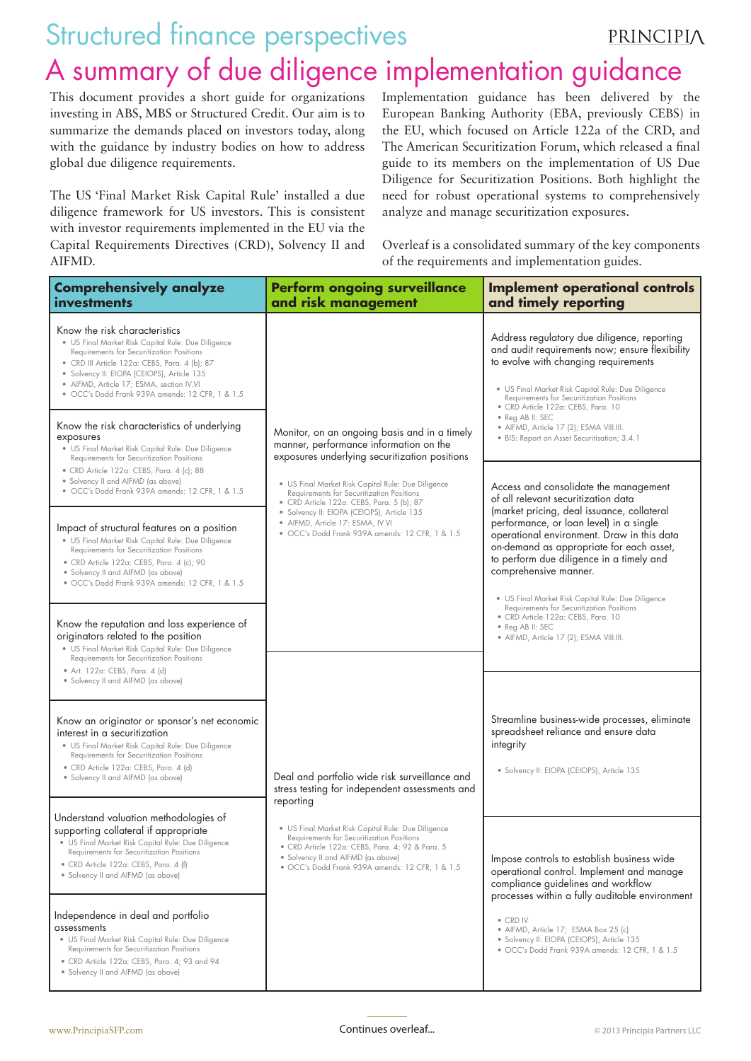## Structured finance perspectives PRINCIPIA A summary of due diligence implementation guidance

This document provides a short guide for organizations investing in ABS, MBS or Structured Credit. Our aim is to summarize the demands placed on investors today, along with the guidance by industry bodies on how to address global due diligence requirements.

The US 'Final Market Risk Capital Rule' installed a due diligence framework for US investors. This is consistent with investor requirements implemented in the EU via the Capital Requirements Directives (CRD), Solvency II and AIFMD.

Implementation guidance has been delivered by the European Banking Authority (EBA, previously CEBS) in the EU, which focused on Article 122a of the CRD, and The American Securitization Forum, which released a final guide to its members on the implementation of US Due Diligence for Securitization Positions. Both highlight the need for robust operational systems to comprehensively analyze and manage securitization exposures.

Overleaf is a consolidated summary of the key components of the requirements and implementation guides.

| <b>Comprehensively analyze</b><br>investments                                                                                                                                                                                                                                                                                  | <b>Perform ongoing surveillance</b><br>and risk management                                                                                                                                                                                                                        | <b>Implement operational controls</b><br>and timely reporting                                                                                                                                                                                                                                                                                                                              |
|--------------------------------------------------------------------------------------------------------------------------------------------------------------------------------------------------------------------------------------------------------------------------------------------------------------------------------|-----------------------------------------------------------------------------------------------------------------------------------------------------------------------------------------------------------------------------------------------------------------------------------|--------------------------------------------------------------------------------------------------------------------------------------------------------------------------------------------------------------------------------------------------------------------------------------------------------------------------------------------------------------------------------------------|
| Know the risk characteristics<br>· US Final Market Risk Capital Rule: Due Diligence<br>Requirements for Securitization Positions<br>• CRD III Article 122a: CEBS, Para. 4 (b); 87<br>• Solvency II: EIOPA (CEIOPS), Article 135<br>• AIFMD, Article 17; ESMA, section IV.VI<br>• OCC's Dodd Frank 939A amends: 12 CFR, 1 & 1.5 |                                                                                                                                                                                                                                                                                   | Address regulatory due diligence, reporting<br>and audit requirements now; ensure flexibility<br>to evolve with changing requirements<br>• US Final Market Risk Capital Rule: Due Diligence<br>Requirements for Securitization Positions<br>· CRD Article 122a: CEBS, Para. 10                                                                                                             |
| Know the risk characteristics of underlying<br>exposures<br>• US Final Market Risk Capital Rule: Due Diligence<br><b>Requirements for Securitization Positions</b>                                                                                                                                                             | Monitor, on an ongoing basis and in a timely<br>manner, performance information on the<br>exposures underlying securitization positions                                                                                                                                           | · Reg AB II: SEC<br>• AIFMD, Article 17 (2); ESMA VIII.III.<br>· BIS: Report on Asset Securitisation; 3.4.1                                                                                                                                                                                                                                                                                |
| • CRD Article 122a: CEBS, Para. 4 (c); 88<br>• Solvency II and AIFMD (as above)<br>• OCC's Dodd Frank 939A amends: 12 CFR, 1 & 1.5                                                                                                                                                                                             | • US Final Market Risk Capital Rule: Due Diligence<br>Requirements for Securitization Positions<br>• CRD Article 122a: CEBS, Para. 5 (b); 87<br>· Solvency II: EIOPA (CEIOPS), Article 135<br>• AIFMD, Article 17: ESMA, IV.VI<br>· OCC's Dodd Frank 939A amends: 12 CFR, 1 & 1.5 | Access and consolidate the management<br>of all relevant securitization data<br>(market pricing, deal issuance, collateral<br>performance, or loan level) in a single<br>operational environment. Draw in this data<br>on-demand as appropriate for each asset,<br>to perform due diligence in a timely and<br>comprehensive manner.<br>· US Final Market Risk Capital Rule: Due Diligence |
| Impact of structural features on a position<br>· US Final Market Risk Capital Rule: Due Diligence<br>Requirements for Securitization Positions<br>· CRD Article 122a: CEBS, Para. 4 (c); 90<br>• Solvency II and AIFMD (as above)<br>· OCC's Dodd Frank 939A amends: 12 CFR, 1 & 1.5                                           |                                                                                                                                                                                                                                                                                   |                                                                                                                                                                                                                                                                                                                                                                                            |
| Know the reputation and loss experience of<br>originators related to the position<br>· US Final Market Risk Capital Rule: Due Diligence<br>Requirements for Securitization Positions                                                                                                                                           |                                                                                                                                                                                                                                                                                   | Requirements for Securitization Positions<br>· CRD Article 122a: CEBS, Para. 10<br>• Reg AB II: SEC<br>• AIFMD, Article 17 (2); ESMA VIII.III.                                                                                                                                                                                                                                             |
| • Art. 122a: CEBS, Para. 4 (d)<br>• Solvency II and AIFMD (as above)                                                                                                                                                                                                                                                           |                                                                                                                                                                                                                                                                                   |                                                                                                                                                                                                                                                                                                                                                                                            |
| Know an originator or sponsor's net economic<br>interest in a securitization<br>· US Final Market Risk Capital Rule: Due Diligence<br>Requirements for Securitization Positions<br>· CRD Article 122a: CEBS, Para. 4 (d)<br>· Solvency II and AIFMD (as above)                                                                 | Deal and portfolio wide risk surveillance and<br>stress testing for independent assessments and<br>reporting                                                                                                                                                                      | Streamline business-wide processes, eliminate<br>spreadsheet reliance and ensure data<br>integrity<br>· Solvency II: EIOPA (CEIOPS), Article 135                                                                                                                                                                                                                                           |
| Understand valuation methodologies of                                                                                                                                                                                                                                                                                          |                                                                                                                                                                                                                                                                                   |                                                                                                                                                                                                                                                                                                                                                                                            |
| supporting collateral if appropriate<br>• US Final Market Risk Capital Rule: Due Diligence<br>Requirements for Securitization Positions<br>• CRD Article 122a: CEBS, Para. 4 (f)<br>• Solvency II and AIFMD (as above)                                                                                                         | · US Final Market Risk Capital Rule: Due Diligence<br>Requirements for Securitization Positions<br>• CRD Article 122a: CEBS, Para. 4; 92 & Para. 5<br>· Solvency II and AIFMD (as above)<br>· OCC's Dodd Frank 939A amends: 12 CFR, 1 & 1.5                                       | Impose controls to establish business wide<br>operational control. Implement and manage<br>compliance guidelines and workflow<br>processes within a fully auditable environment                                                                                                                                                                                                            |
| Independence in deal and portfolio<br>assessments<br>• US Final Market Risk Capital Rule: Due Diligence<br>Requirements for Securitization Positions                                                                                                                                                                           |                                                                                                                                                                                                                                                                                   | • CRD IV<br>· AIFMD, Article 17; ESMA Box 25 (c)<br>· Solvency II: EIOPA (CEIOPS), Article 135<br>· OCC's Dodd Frank 939A amends: 12 CFR, 1 & 1.5                                                                                                                                                                                                                                          |
| · CRD Article 122a: CEBS, Para. 4; 93 and 94<br>• Solvency II and AIFMD (as above)                                                                                                                                                                                                                                             |                                                                                                                                                                                                                                                                                   |                                                                                                                                                                                                                                                                                                                                                                                            |